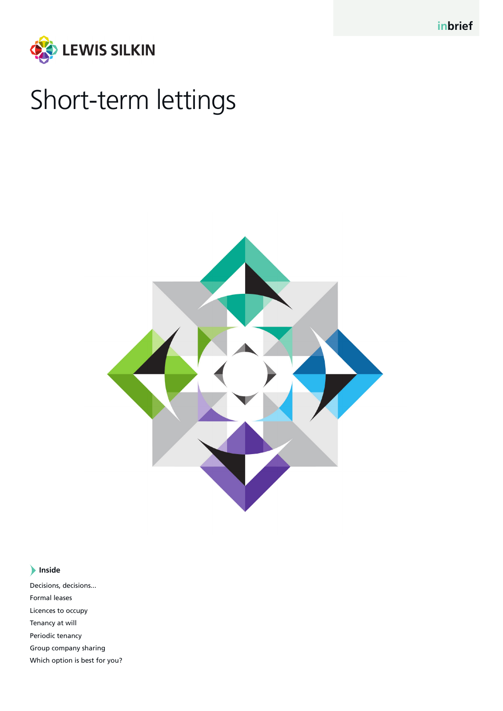

# Short-term lettings



# **Inside**

Decisions, decisions... Formal leases Licences to occupy Tenancy at will Periodic tenancy Group company sharing Which option is best for you?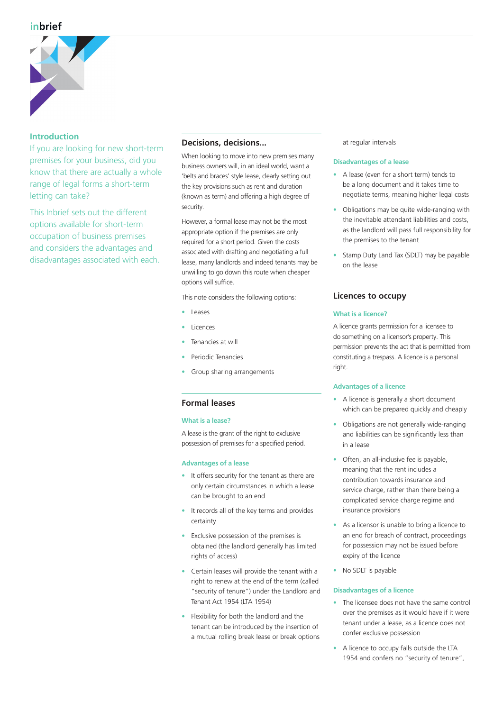# **inbrief**



# **Introduction**

If you are looking for new short-term premises for your business, did you know that there are actually a whole range of legal forms a short-term letting can take?

This Inbrief sets out the different options available for short-term occupation of business premises and considers the advantages and disadvantages associated with each.

# **Decisions, decisions...**

When looking to move into new premises many business owners will, in an ideal world, want a 'belts and braces' style lease, clearly setting out the key provisions such as rent and duration (known as term) and offering a high degree of security.

However, a formal lease may not be the most appropriate option if the premises are only required for a short period. Given the costs associated with drafting and negotiating a full lease, many landlords and indeed tenants may be unwilling to go down this route when cheaper options will suffice.

This note considers the following options:

- Leases
- **Licences**
- Tenancies at will
- Periodic Tenancies
- Group sharing arrangements

# **Formal leases**

# **What is a lease?**

A lease is the grant of the right to exclusive possession of premises for a specified period.

# **Advantages of a lease**

- It offers security for the tenant as there are only certain circumstances in which a lease can be brought to an end
- It records all of the key terms and provides certainty
- Exclusive possession of the premises is obtained (the landlord generally has limited rights of access)
- Certain leases will provide the tenant with a right to renew at the end of the term (called "security of tenure") under the Landlord and Tenant Act 1954 (LTA 1954)
- Flexibility for both the landlord and the tenant can be introduced by the insertion of a mutual rolling break lease or break options

at regular intervals

# **Disadvantages of a lease**

- A lease (even for a short term) tends to be a long document and it takes time to negotiate terms, meaning higher legal costs
- Obligations may be quite wide-ranging with the inevitable attendant liabilities and costs, as the landlord will pass full responsibility for the premises to the tenant
- Stamp Duty Land Tax (SDLT) may be payable on the lease

# **Licences to occupy**

# **What is a licence?**

A licence grants permission for a licensee to do something on a licensor's property. This permission prevents the act that is permitted from constituting a trespass. A licence is a personal right.

# **Advantages of a licence**

- A licence is generally a short document which can be prepared quickly and cheaply
- Obligations are not generally wide-ranging and liabilities can be significantly less than in a lease
- Often, an all-inclusive fee is payable, meaning that the rent includes a contribution towards insurance and service charge, rather than there being a complicated service charge regime and insurance provisions
- As a licensor is unable to bring a licence to an end for breach of contract, proceedings for possession may not be issued before expiry of the licence
- No SDLT is payable

# **Disadvantages of a licence**

- The licensee does not have the same control over the premises as it would have if it were tenant under a lease, as a licence does not confer exclusive possession
- A licence to occupy falls outside the LTA 1954 and confers no "security of tenure",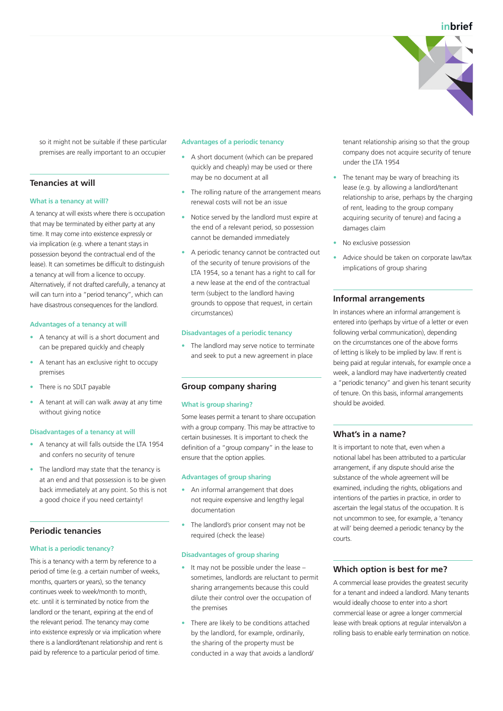

so it might not be suitable if these particular premises are really important to an occupier

# **Tenancies at will**

#### **What is a tenancy at will?**

A tenancy at will exists where there is occupation that may be terminated by either party at any time. It may come into existence expressly or via implication (e.g. where a tenant stays in possession beyond the contractual end of the lease). It can sometimes be difficult to distinguish a tenancy at will from a licence to occupy. Alternatively, if not drafted carefully, a tenancy at will can turn into a "period tenancy", which can have disastrous consequences for the landlord.

#### **Advantages of a tenancy at will**

- A tenancy at will is a short document and can be prepared quickly and cheaply
- A tenant has an exclusive right to occupy premises
- There is no SDLT payable
- A tenant at will can walk away at any time without giving notice

#### **Disadvantages of a tenancy at will**

- A tenancy at will falls outside the LTA 1954 and confers no security of tenure
- The landlord may state that the tenancy is at an end and that possession is to be given back immediately at any point. So this is not a good choice if you need certainty!

## **Periodic tenancies**

#### **What is a periodic tenancy?**

This is a tenancy with a term by reference to a period of time (e.g. a certain number of weeks, months, quarters or years), so the tenancy continues week to week/month to month, etc. until it is terminated by notice from the landlord or the tenant, expiring at the end of the relevant period. The tenancy may come into existence expressly or via implication where there is a landlord/tenant relationship and rent is paid by reference to a particular period of time.

#### **Advantages of a periodic tenancy**

- A short document (which can be prepared quickly and cheaply) may be used or there may be no document at all
- The rolling nature of the arrangement means renewal costs will not be an issue
- Notice served by the landlord must expire at the end of a relevant period, so possession cannot be demanded immediately
- A periodic tenancy cannot be contracted out of the security of tenure provisions of the LTA 1954, so a tenant has a right to call for a new lease at the end of the contractual term (subject to the landlord having grounds to oppose that request, in certain circumstances)

#### **Disadvantages of a periodic tenancy**

• The landlord may serve notice to terminate and seek to put a new agreement in place

## **Group company sharing**

#### **What is group sharing?**

Some leases permit a tenant to share occupation with a group company. This may be attractive to certain businesses. It is important to check the definition of a "group company" in the lease to ensure that the option applies.

# **Advantages of group sharing**

- An informal arrangement that does not require expensive and lengthy legal documentation
- The landlord's prior consent may not be required (check the lease)

## **Disadvantages of group sharing**

- It may not be possible under the lease sometimes, landlords are reluctant to permit sharing arrangements because this could dilute their control over the occupation of the premises
- There are likely to be conditions attached by the landlord, for example, ordinarily, the sharing of the property must be conducted in a way that avoids a landlord/

tenant relationship arising so that the group company does not acquire security of tenure under the LTA 1954

- The tenant may be wary of breaching its lease (e.g. by allowing a landlord/tenant relationship to arise, perhaps by the charging of rent, leading to the group company acquiring security of tenure) and facing a damages claim
- No exclusive possession
- Advice should be taken on corporate law/tax implications of group sharing

## **Informal arrangements**

In instances where an informal arrangement is entered into (perhaps by virtue of a letter or even following verbal communication), depending on the circumstances one of the above forms of letting is likely to be implied by law. If rent is being paid at regular intervals, for example once a week, a landlord may have inadvertently created a "periodic tenancy" and given his tenant security of tenure. On this basis, informal arrangements should be avoided.

## **What's in a name?**

It is important to note that, even when a notional label has been attributed to a particular arrangement, if any dispute should arise the substance of the whole agreement will be examined, including the rights, obligations and intentions of the parties in practice, in order to ascertain the legal status of the occupation. It is not uncommon to see, for example, a 'tenancy at will' being deemed a periodic tenancy by the courts.

## **Which option is best for me?**

A commercial lease provides the greatest security for a tenant and indeed a landlord. Many tenants would ideally choose to enter into a short commercial lease or agree a longer commercial lease with break options at regular intervals/on a rolling basis to enable early termination on notice.